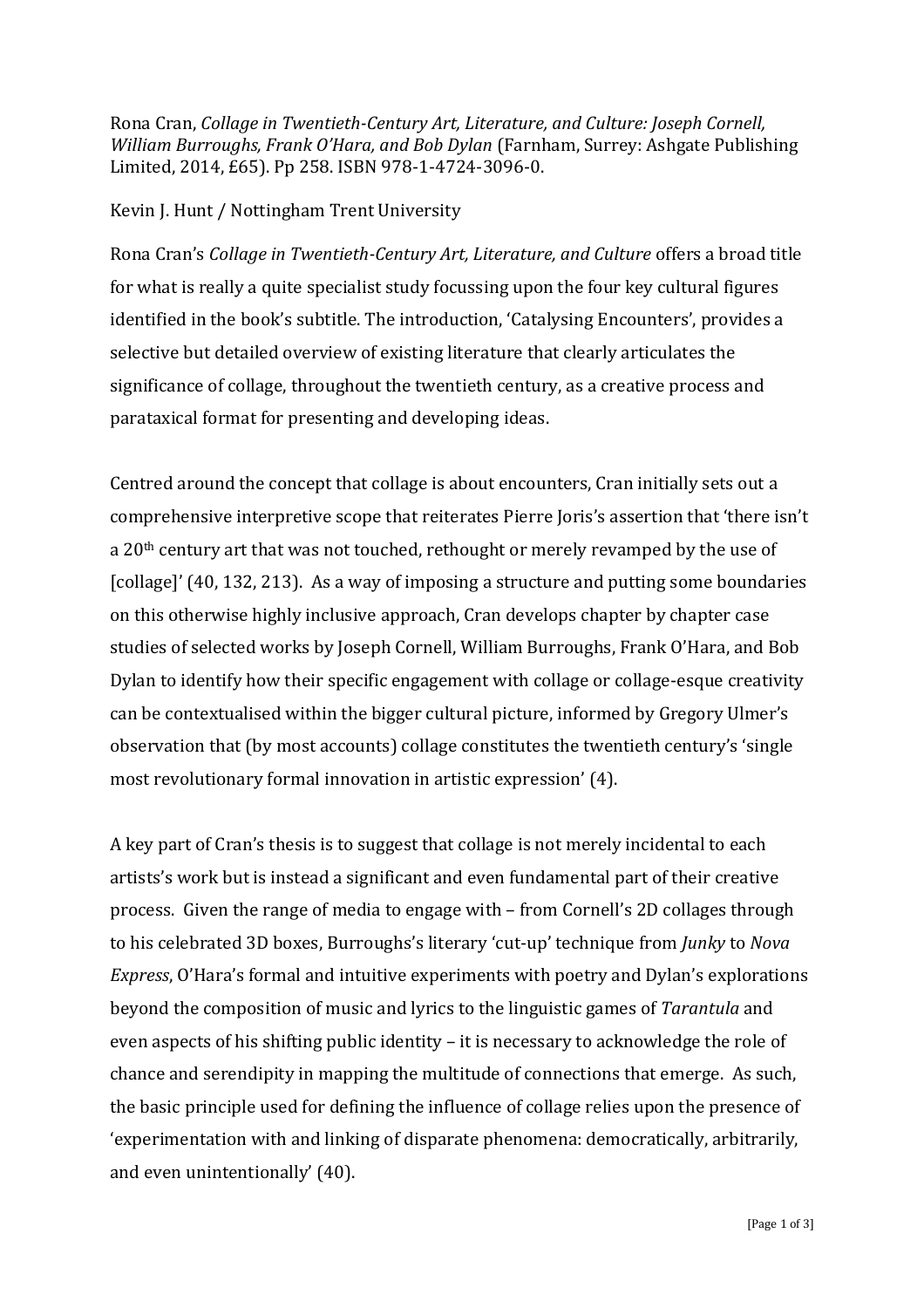Rona Cran, *Collage in Twentieth-Century Art, Literature, and Culture: Joseph Cornell, William Burroughs, Frank O'Hara, and Bob Dylan* (Farnham, Surrey: Ashgate Publishing Limited, 2014, £65). Pp 258. ISBN 978-1-4724-3096-0.

## Kevin J. Hunt / Nottingham Trent University

Rona Cran's *Collage in Twentieth-Century Art, Literature, and Culture* offers a broad title for what is really a quite specialist study focussing upon the four key cultural figures identified in the book's subtitle. The introduction, 'Catalysing Encounters', provides a selective but detailed overview of existing literature that clearly articulates the significance of collage, throughout the twentieth century, as a creative process and parataxical format for presenting and developing ideas.

Centred around the concept that collage is about encounters, Cran initially sets out a comprehensive interpretive scope that reiterates Pierre Joris's assertion that 'there isn't a 20<sup>th</sup> century art that was not touched, rethought or merely revamped by the use of [collage]' (40, 132, 213). As a way of imposing a structure and putting some boundaries on this otherwise highly inclusive approach, Cran develops chapter by chapter case studies of selected works by Joseph Cornell, William Burroughs, Frank O'Hara, and Bob Dylan to identify how their specific engagement with collage or collage-esque creativity can be contextualised within the bigger cultural picture, informed by Gregory Ulmer's observation that (by most accounts) collage constitutes the twentieth century's 'single most revolutionary formal innovation in artistic expression' (4).

A key part of Cran's thesis is to suggest that collage is not merely incidental to each artists's work but is instead a significant and even fundamental part of their creative process. Given the range of media to engage with – from Cornell's 2D collages through to his celebrated 3D boxes, Burroughs's literary 'cut-up' technique from *Junky* to *Nova Express*, O'Hara's formal and intuitive experiments with poetry and Dylan's explorations beyond the composition of music and lyrics to the linguistic games of *Tarantula* and even aspects of his shifting public identity – it is necessary to acknowledge the role of chance and serendipity in mapping the multitude of connections that emerge. As such, the basic principle used for defining the influence of collage relies upon the presence of 'experimentation with and linking of disparate phenomena: democratically, arbitrarily, and even unintentionally' (40).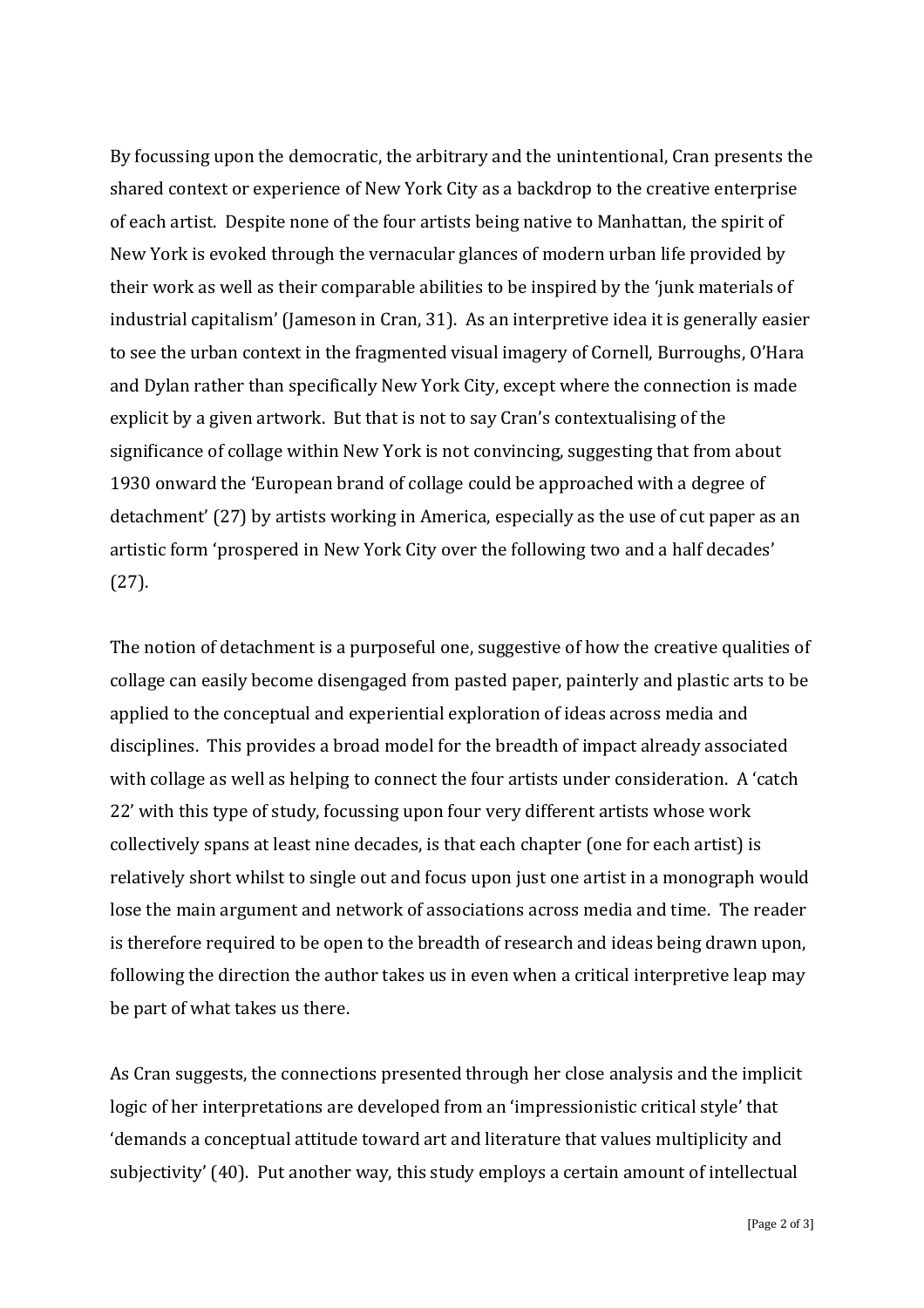By focussing upon the democratic, the arbitrary and the unintentional, Cran presents the shared context or experience of New York City as a backdrop to the creative enterprise of each artist. Despite none of the four artists being native to Manhattan, the spirit of New York is evoked through the vernacular glances of modern urban life provided by their work as well as their comparable abilities to be inspired by the 'junk materials of industrial capitalism' (Jameson in Cran, 31). As an interpretive idea it is generally easier to see the urban context in the fragmented visual imagery of Cornell, Burroughs, O'Hara and Dylan rather than specifically New York City, except where the connection is made explicit by a given artwork. But that is not to say Cran's contextualising of the significance of collage within New York is not convincing, suggesting that from about 1930 onward the 'European brand of collage could be approached with a degree of detachment' (27) by artists working in America, especially as the use of cut paper as an artistic form 'prospered in New York City over the following two and a half decades' (27).

The notion of detachment is a purposeful one, suggestive of how the creative qualities of collage can easily become disengaged from pasted paper, painterly and plastic arts to be applied to the conceptual and experiential exploration of ideas across media and disciplines. This provides a broad model for the breadth of impact already associated with collage as well as helping to connect the four artists under consideration. A 'catch 22' with this type of study, focussing upon four very different artists whose work collectively spans at least nine decades, is that each chapter (one for each artist) is relatively short whilst to single out and focus upon just one artist in a monograph would lose the main argument and network of associations across media and time. The reader is therefore required to be open to the breadth of research and ideas being drawn upon, following the direction the author takes us in even when a critical interpretive leap may be part of what takes us there.

As Cran suggests, the connections presented through her close analysis and the implicit logic of her interpretations are developed from an 'impressionistic critical style' that 'demands a conceptual attitude toward art and literature that values multiplicity and subjectivity' (40). Put another way, this study employs a certain amount of intellectual